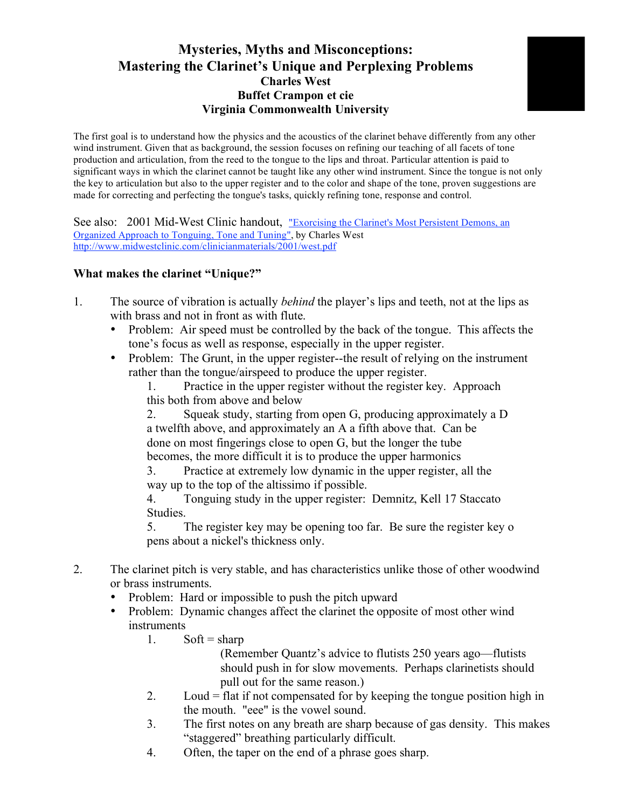## **Mysteries, Myths and Misconceptions: Mastering the Clarinet's Unique and Perplexing Problems Charles West Buffet Crampon et cie Virginia Commonwealth University**

The first goal is to understand how the physics and the acoustics of the clarinet behave differently from any other wind instrument. Given that as background, the session focuses on refining our teaching of all facets of tone production and articulation, from the reed to the tongue to the lips and throat. Particular attention is paid to significant ways in which the clarinet cannot be taught like any other wind instrument. Since the tongue is not only the key to articulation but also to the upper register and to the color and shape of the tone, proven suggestions are made for correcting and perfecting the tongue's tasks, quickly refining tone, response and control.

See also: 2001 Mid-West Clinic handout, "Exorcising the Clarinet's Most Persistent Demons, an Organized Approach to Tonguing, Tone and Tuning", by Charles West http://www.midwestclinic.com/clinicianmaterials/2001/west.pdf

## **What makes the clarinet "Unique?"**

- 1. The source of vibration is actually *behind* the player's lips and teeth, not at the lips as with brass and not in front as with flute.
	- Problem: Air speed must be controlled by the back of the tongue. This affects the tone's focus as well as response, especially in the upper register.
	- Problem: The Grunt, in the upper register--the result of relying on the instrument rather than the tongue/airspeed to produce the upper register.
		- 1. Practice in the upper register without the register key. Approach this both from above and below

2. Squeak study, starting from open G, producing approximately a D a twelfth above, and approximately an A a fifth above that. Can be done on most fingerings close to open G, but the longer the tube becomes, the more difficult it is to produce the upper harmonics

3. Practice at extremely low dynamic in the upper register, all the way up to the top of the altissimo if possible.

4. Tonguing study in the upper register: Demnitz, Kell 17 Staccato Studies.

5. The register key may be opening too far. Be sure the register key o pens about a nickel's thickness only.

- 2. The clarinet pitch is very stable, and has characteristics unlike those of other woodwind or brass instruments.
	- Problem: Hard or impossible to push the pitch upward
	- Problem: Dynamic changes affect the clarinet the opposite of most other wind instruments
		- 1. Soft = sharp

(Remember Quantz's advice to flutists 250 years ago—flutists should push in for slow movements. Perhaps clarinetists should pull out for the same reason.)

- 2. Loud = flat if not compensated for by keeping the tongue position high in the mouth. "eee" is the vowel sound.
- 3. The first notes on any breath are sharp because of gas density. This makes "staggered" breathing particularly difficult.
- 4. Often, the taper on the end of a phrase goes sharp.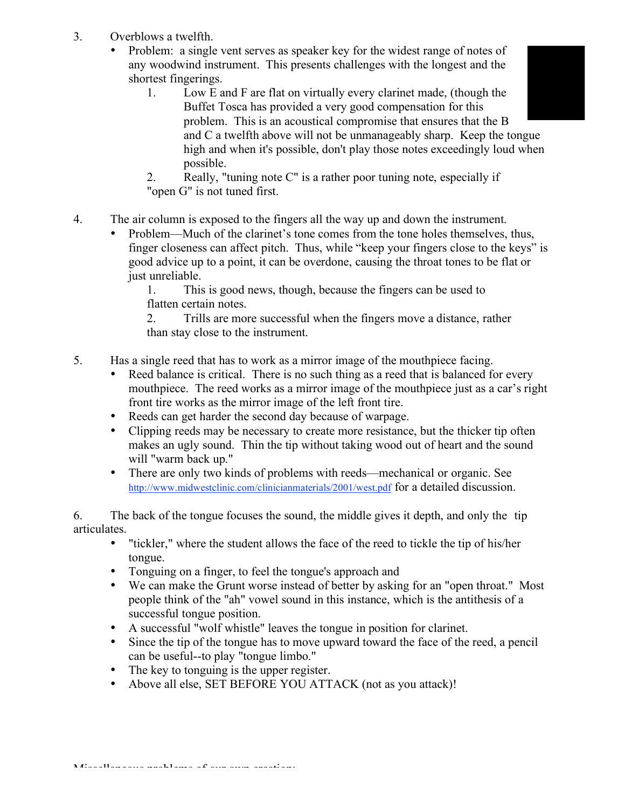- 3. Overblows a twelfth.
	- Problem: a single vent serves as speaker key for the widest range of notes of any woodwind instrument. This presents challenges with the longest and the shortest fingerings.
		- 1. Low E and F are flat on virtually every clarinet made, (though the Buffet Tosca has provided a very good compensation for this problem. This is an acoustical compromise that ensures that the B and C a twelfth above will not be unmanageably sharp. Keep the tongue high and when it's possible, don't play those notes exceedingly loud when possible.
		- 2. Really, "tuning note C" is a rather poor tuning note, especially if "open G" is not tuned first.
- 4. The air column is exposed to the fingers all the way up and down the instrument.
	- Problem—Much of the clarinet's tone comes from the tone holes themselves, thus, finger closeness can affect pitch. Thus, while "keep your fingers close to the keys" is good advice up to a point, it can be overdone, causing the throat tones to be flat or just unreliable.

1. This is good news, though, because the fingers can be used to flatten certain notes.

2. Trills are more successful when the fingers move a distance, rather than stay close to the instrument.

- 5. Has a single reed that has to work as a mirror image of the mouthpiece facing.
	- Reed balance is critical. There is no such thing as a reed that is balanced for every mouthpiece. The reed works as a mirror image of the mouthpiece just as a car's right front tire works as the mirror image of the left front tire.
	- Reeds can get harder the second day because of warpage.
	- Clipping reeds may be necessary to create more resistance, but the thicker tip often makes an ugly sound. Thin the tip without taking wood out of heart and the sound will "warm back up."
	- There are only two kinds of problems with reeds—mechanical or organic. See http://www.midwestclinic.com/clinicianmaterials/2001/west.pdf for a detailed discussion.

6. The back of the tongue focuses the sound, the middle gives it depth, and only the tip articulates.

- "tickler," where the student allows the face of the reed to tickle the tip of his/her tongue.
- Tonguing on a finger, to feel the tongue's approach and
- We can make the Grunt worse instead of better by asking for an "open throat." Most people think of the "ah" vowel sound in this instance, which is the antithesis of a successful tongue position.
- A successful "wolf whistle" leaves the tongue in position for clarinet.
- Since the tip of the tongue has to move upward toward the face of the reed, a pencil can be useful--to play "tongue limbo."
- The key to tonguing is the upper register.
- Above all else, SET BEFORE YOU ATTACK (not as you attack)!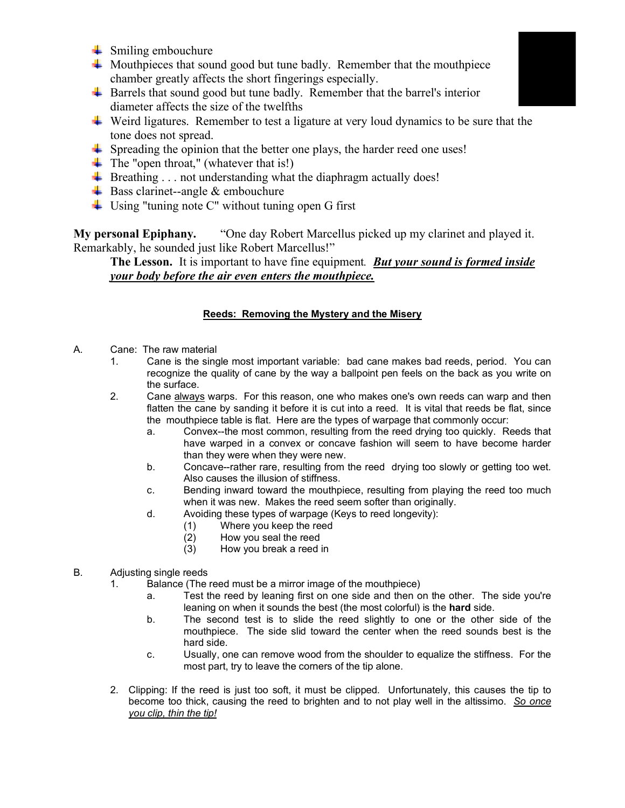- $\frac{1}{2}$  Smiling embouchure
- $\overline{\phantom{a}}$  Mouthpieces that sound good but tune badly. Remember that the mouthpiece chamber greatly affects the short fingerings especially.
- $\overline{\phantom{a}}$  Barrels that sound good but tune badly. Remember that the barrel's interior diameter affects the size of the twelfths
- $\overline{\phantom{a}}$  Weird ligatures. Remember to test a ligature at very loud dynamics to be sure that the tone does not spread.
- $\ddot{+}$  Spreading the opinion that the better one plays, the harder reed one uses!
- $\overline{\text{I}}$  The "open throat," (whatever that is!)
- $\ddot{+}$  Breathing . . . not understanding what the diaphragm actually does!
- $\overline{\text{Base}}$  Bass clarinet--angle & embouchure
- $\ddot{\phantom{1}}$  Using "tuning note C" without tuning open G first

**My personal Epiphany.** "One day Robert Marcellus picked up my clarinet and played it. Remarkably, he sounded just like Robert Marcellus!"

**The Lesson.** It is important to have fine equipment*. But your sound is formed inside your body before the air even enters the mouthpiece.*

## **Reeds: Removing the Mystery and the Misery**

- A. Cane: The raw material
	- 1. Cane is the single most important variable: bad cane makes bad reeds, period. You can recognize the quality of cane by the way a ballpoint pen feels on the back as you write on the surface.
	- 2. Cane always warps. For this reason, one who makes one's own reeds can warp and then flatten the cane by sanding it before it is cut into a reed. It is vital that reeds be flat, since the mouthpiece table is flat. Here are the types of warpage that commonly occur:
		- a. Convex--the most common, resulting from the reed drying too quickly. Reeds that have warped in a convex or concave fashion will seem to have become harder than they were when they were new.
		- b. Concave--rather rare, resulting from the reed drying too slowly or getting too wet. Also causes the illusion of stiffness.
		- c. Bending inward toward the mouthpiece, resulting from playing the reed too much when it was new. Makes the reed seem softer than originally.
		- d. Avoiding these types of warpage (Keys to reed longevity):
			- (1) Where you keep the reed
			- (2) How you seal the reed
			- (3) How you break a reed in
- B. Adjusting single reeds
	- 1. Balance (The reed must be a mirror image of the mouthpiece)
		- a. Test the reed by leaning first on one side and then on the other. The side you're leaning on when it sounds the best (the most colorful) is the **hard** side.
		- b. The second test is to slide the reed slightly to one or the other side of the mouthpiece. The side slid toward the center when the reed sounds best is the hard side.
		- c. Usually, one can remove wood from the shoulder to equalize the stiffness. For the most part, try to leave the corners of the tip alone.
	- 2. Clipping: If the reed is just too soft, it must be clipped. Unfortunately, this causes the tip to become too thick, causing the reed to brighten and to not play well in the altissimo. *So once you clip, thin the tip!*